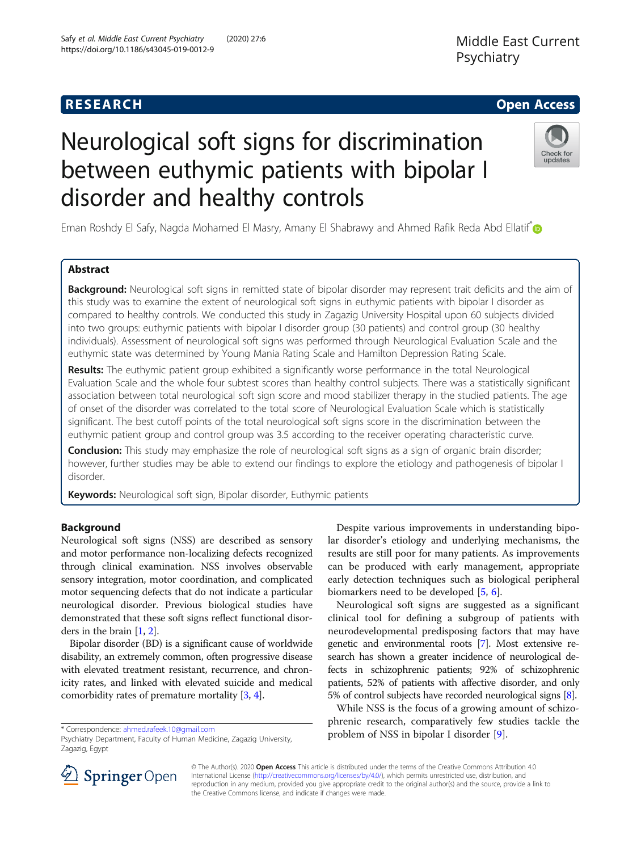# Neurological soft signs for discrimination between euthymic patients with bipolar I disorder and healthy controls

Eman Roshdy El Safy, Nagda Mohamed El Masry, Amany El Shabrawy and Ahmed Rafik Reda Abd Ellatif<sup>®</sup>

# Abstract

Background: Neurological soft signs in remitted state of bipolar disorder may represent trait deficits and the aim of this study was to examine the extent of neurological soft signs in euthymic patients with bipolar I disorder as compared to healthy controls. We conducted this study in Zagazig University Hospital upon 60 subjects divided into two groups: euthymic patients with bipolar I disorder group (30 patients) and control group (30 healthy individuals). Assessment of neurological soft signs was performed through Neurological Evaluation Scale and the euthymic state was determined by Young Mania Rating Scale and Hamilton Depression Rating Scale.

Results: The euthymic patient group exhibited a significantly worse performance in the total Neurological Evaluation Scale and the whole four subtest scores than healthy control subjects. There was a statistically significant association between total neurological soft sign score and mood stabilizer therapy in the studied patients. The age of onset of the disorder was correlated to the total score of Neurological Evaluation Scale which is statistically significant. The best cutoff points of the total neurological soft signs score in the discrimination between the euthymic patient group and control group was 3.5 according to the receiver operating characteristic curve.

Conclusion: This study may emphasize the role of neurological soft signs as a sign of organic brain disorder; however, further studies may be able to extend our findings to explore the etiology and pathogenesis of bipolar I disorder.

Keywords: Neurological soft sign, Bipolar disorder, Euthymic patients

# Background

Neurological soft signs (NSS) are described as sensory and motor performance non-localizing defects recognized through clinical examination. NSS involves observable sensory integration, motor coordination, and complicated motor sequencing defects that do not indicate a particular neurological disorder. Previous biological studies have demonstrated that these soft signs reflect functional disorders in the brain [\[1](#page-6-0), [2\]](#page-6-0).

Bipolar disorder (BD) is a significant cause of worldwide disability, an extremely common, often progressive disease with elevated treatment resistant, recurrence, and chronicity rates, and linked with elevated suicide and medical comorbidity rates of premature mortality [\[3](#page-6-0), [4\]](#page-6-0).

\* Correspondence: [ahmed.rafeek.10@gmail.com](mailto:ahmed.rafeek.10@gmail.com)

Despite various improvements in understanding bipolar disorder's etiology and underlying mechanisms, the results are still poor for many patients. As improvements can be produced with early management, appropriate early detection techniques such as biological peripheral biomarkers need to be developed [[5,](#page-6-0) [6\]](#page-6-0).

Neurological soft signs are suggested as a significant clinical tool for defining a subgroup of patients with neurodevelopmental predisposing factors that may have genetic and environmental roots [[7](#page-6-0)]. Most extensive research has shown a greater incidence of neurological defects in schizophrenic patients; 92% of schizophrenic patients, 52% of patients with affective disorder, and only 5% of control subjects have recorded neurological signs [[8](#page-6-0)].

While NSS is the focus of a growing amount of schizophrenic research, comparatively few studies tackle the problem of NSS in bipolar I disorder [[9\]](#page-6-0).

© The Author(s). 2020 Open Access This article is distributed under the terms of the Creative Commons Attribution 4.0 International License ([http://creativecommons.org/licenses/by/4.0/\)](http://creativecommons.org/licenses/by/4.0/), which permits unrestricted use, distribution, and reproduction in any medium, provided you give appropriate credit to the original author(s) and the source, provide a link to the Creative Commons license, and indicate if changes were made.







**RESEARCH CHE Open Access** 

Psychiatry Department, Faculty of Human Medicine, Zagazig University, Zagazig, Egypt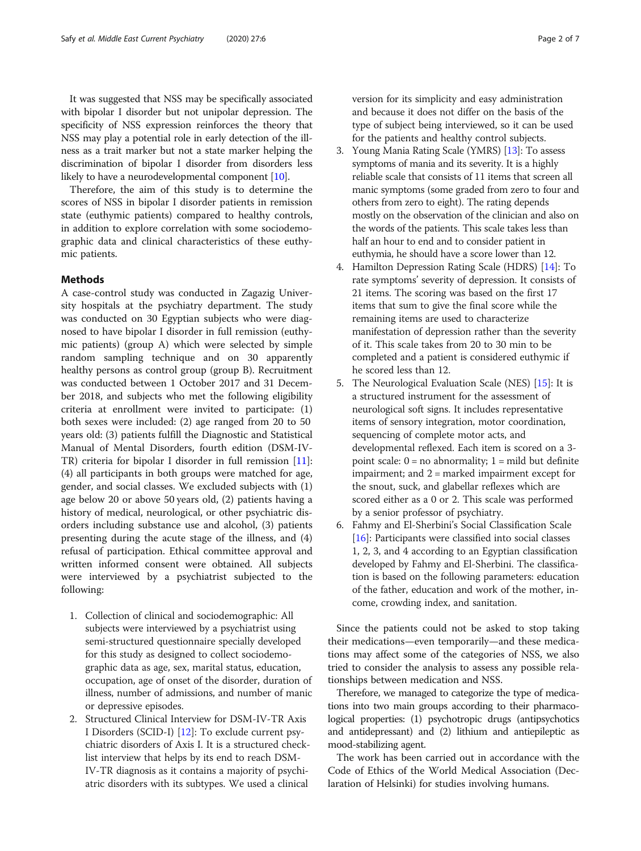It was suggested that NSS may be specifically associated with bipolar I disorder but not unipolar depression. The specificity of NSS expression reinforces the theory that NSS may play a potential role in early detection of the illness as a trait marker but not a state marker helping the discrimination of bipolar I disorder from disorders less likely to have a neurodevelopmental component [[10](#page-6-0)].

Therefore, the aim of this study is to determine the scores of NSS in bipolar I disorder patients in remission state (euthymic patients) compared to healthy controls, in addition to explore correlation with some sociodemographic data and clinical characteristics of these euthymic patients.

#### Methods

A case-control study was conducted in Zagazig University hospitals at the psychiatry department. The study was conducted on 30 Egyptian subjects who were diagnosed to have bipolar I disorder in full remission (euthymic patients) (group A) which were selected by simple random sampling technique and on 30 apparently healthy persons as control group (group B). Recruitment was conducted between 1 October 2017 and 31 December 2018, and subjects who met the following eligibility criteria at enrollment were invited to participate: (1) both sexes were included: (2) age ranged from 20 to 50 years old: (3) patients fulfill the Diagnostic and Statistical Manual of Mental Disorders, fourth edition (DSM-IV-TR) criteria for bipolar I disorder in full remission [\[11](#page-6-0)]: (4) all participants in both groups were matched for age, gender, and social classes. We excluded subjects with (1) age below 20 or above 50 years old, (2) patients having a history of medical, neurological, or other psychiatric disorders including substance use and alcohol, (3) patients presenting during the acute stage of the illness, and (4) refusal of participation. Ethical committee approval and written informed consent were obtained. All subjects were interviewed by a psychiatrist subjected to the following:

- 1. Collection of clinical and sociodemographic: All subjects were interviewed by a psychiatrist using semi-structured questionnaire specially developed for this study as designed to collect sociodemographic data as age, sex, marital status, education, occupation, age of onset of the disorder, duration of illness, number of admissions, and number of manic or depressive episodes.
- 2. Structured Clinical Interview for DSM-IV-TR Axis I Disorders (SCID-I) [[12\]](#page-6-0): To exclude current psychiatric disorders of Axis I. It is a structured checklist interview that helps by its end to reach DSM-IV-TR diagnosis as it contains a majority of psychiatric disorders with its subtypes. We used a clinical

version for its simplicity and easy administration and because it does not differ on the basis of the type of subject being interviewed, so it can be used for the patients and healthy control subjects.

- 3. Young Mania Rating Scale (YMRS) [\[13\]](#page-6-0): To assess symptoms of mania and its severity. It is a highly reliable scale that consists of 11 items that screen all manic symptoms (some graded from zero to four and others from zero to eight). The rating depends mostly on the observation of the clinician and also on the words of the patients. This scale takes less than half an hour to end and to consider patient in euthymia, he should have a score lower than 12.
- 4. Hamilton Depression Rating Scale (HDRS) [[14](#page-6-0)]: To rate symptoms' severity of depression. It consists of 21 items. The scoring was based on the first 17 items that sum to give the final score while the remaining items are used to characterize manifestation of depression rather than the severity of it. This scale takes from 20 to 30 min to be completed and a patient is considered euthymic if he scored less than 12.
- 5. The Neurological Evaluation Scale (NES) [\[15\]](#page-6-0): It is a structured instrument for the assessment of neurological soft signs. It includes representative items of sensory integration, motor coordination, sequencing of complete motor acts, and developmental reflexed. Each item is scored on a 3 point scale:  $0 = no$  abnormality;  $1 = mild$  but definite impairment; and 2 = marked impairment except for the snout, suck, and glabellar reflexes which are scored either as a 0 or 2. This scale was performed by a senior professor of psychiatry.
- 6. Fahmy and El-Sherbini's Social Classification Scale [[16](#page-6-0)]: Participants were classified into social classes 1, 2, 3, and 4 according to an Egyptian classification developed by Fahmy and El-Sherbini. The classification is based on the following parameters: education of the father, education and work of the mother, income, crowding index, and sanitation.

Since the patients could not be asked to stop taking their medications—even temporarily—and these medications may affect some of the categories of NSS, we also tried to consider the analysis to assess any possible relationships between medication and NSS.

Therefore, we managed to categorize the type of medications into two main groups according to their pharmacological properties: (1) psychotropic drugs (antipsychotics and antidepressant) and (2) lithium and antiepileptic as mood-stabilizing agent.

The work has been carried out in accordance with the Code of Ethics of the World Medical Association (Declaration of Helsinki) for studies involving humans.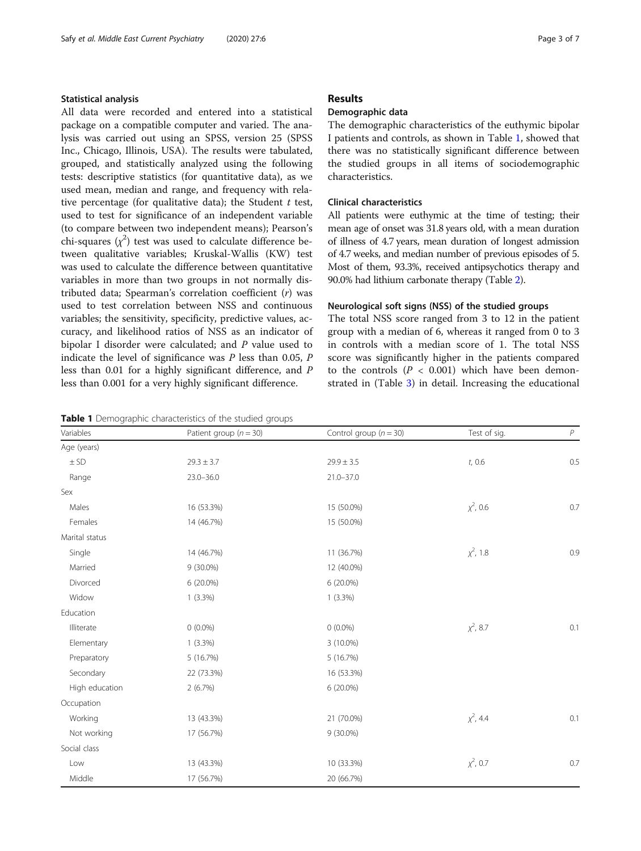#### Statistical analysis

All data were recorded and entered into a statistical package on a compatible computer and varied. The analysis was carried out using an SPSS, version 25 (SPSS Inc., Chicago, Illinois, USA). The results were tabulated, grouped, and statistically analyzed using the following tests: descriptive statistics (for quantitative data), as we used mean, median and range, and frequency with relative percentage (for qualitative data); the Student  $t$  test, used to test for significance of an independent variable (to compare between two independent means); Pearson's chi-squares  $(\chi^2)$  test was used to calculate difference between qualitative variables; Kruskal-Wallis (KW) test was used to calculate the difference between quantitative variables in more than two groups in not normally distributed data; Spearman's correlation coefficient (r) was used to test correlation between NSS and continuous variables; the sensitivity, specificity, predictive values, accuracy, and likelihood ratios of NSS as an indicator of bipolar I disorder were calculated; and P value used to indicate the level of significance was  $P$  less than 0.05,  $P$ less than 0.01 for a highly significant difference, and P less than 0.001 for a very highly significant difference.

# Results

# Demographic data

The demographic characteristics of the euthymic bipolar I patients and controls, as shown in Table 1, showed that there was no statistically significant difference between the studied groups in all items of sociodemographic characteristics.

# Clinical characteristics

All patients were euthymic at the time of testing; their mean age of onset was 31.8 years old, with a mean duration of illness of 4.7 years, mean duration of longest admission of 4.7 weeks, and median number of previous episodes of 5. Most of them, 93.3%, received antipsychotics therapy and 90.0% had lithium carbonate therapy (Table [2](#page-3-0)).

#### Neurological soft signs (NSS) of the studied groups

The total NSS score ranged from 3 to 12 in the patient group with a median of 6, whereas it ranged from 0 to 3 in controls with a median score of 1. The total NSS score was significantly higher in the patients compared to the controls  $(P < 0.001)$  which have been demonstrated in (Table [3\)](#page-3-0) in detail. Increasing the educational

# Table 1 Demographic characteristics of the studied groups

| Variables      | Patient group ( $n = 30$ ) | Control group ( $n = 30$ ) | Test of sig.   | $\boldsymbol{P}$ |
|----------------|----------------------------|----------------------------|----------------|------------------|
| Age (years)    |                            |                            |                |                  |
| $\pm$ SD       | $29.3 \pm 3.7$             | $29.9 \pm 3.5$             | t, 0.6         | 0.5              |
| Range          | $23.0 - 36.0$              | $21.0 - 37.0$              |                |                  |
| Sex            |                            |                            |                |                  |
| Males          | 16 (53.3%)                 | 15 (50.0%)                 | $\chi^2$ , 0.6 | 0.7              |
| Females        | 14 (46.7%)                 | 15 (50.0%)                 |                |                  |
| Marital status |                            |                            |                |                  |
| Single         | 14 (46.7%)                 | 11 (36.7%)                 | $\chi^2$ , 1.8 | 0.9              |
| Married        | 9 (30.0%)                  | 12 (40.0%)                 |                |                  |
| Divorced       | 6 (20.0%)                  | 6 (20.0%)                  |                |                  |
| Widow          | $1(3.3\%)$                 | $1(3.3\%)$                 |                |                  |
| Education      |                            |                            |                |                  |
| Illiterate     | $0(0.0\%)$                 | $0(0.0\%)$                 | $\chi^2$ , 8.7 | 0.1              |
| Elementary     | $1(3.3\%)$                 | 3 (10.0%)                  |                |                  |
| Preparatory    | 5(16.7%)                   | 5 (16.7%)                  |                |                  |
| Secondary      | 22 (73.3%)                 | 16 (53.3%)                 |                |                  |
| High education | 2(6.7%)                    | 6 (20.0%)                  |                |                  |
| Occupation     |                            |                            |                |                  |
| Working        | 13 (43.3%)                 | 21 (70.0%)                 | $\chi^2$ , 4.4 | 0.1              |
| Not working    | 17 (56.7%)                 | 9 (30.0%)                  |                |                  |
| Social class   |                            |                            |                |                  |
| Low            | 13 (43.3%)                 | 10 (33.3%)                 | $\chi^2$ , 0.7 | $0.7\,$          |
| Middle         | 17 (56.7%)                 | 20 (66.7%)                 |                |                  |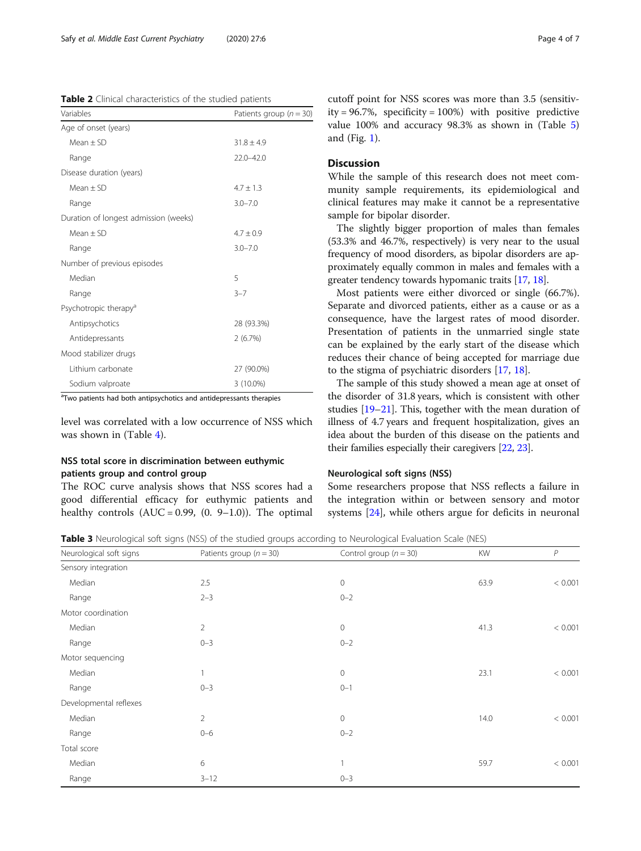<span id="page-3-0"></span>Table 2 Clinical characteristics of the studied patients

| Variables                             | Patients group ( $n = 30$ ) |  |
|---------------------------------------|-----------------------------|--|
| Age of onset (years)                  |                             |  |
| $Mean + SD$                           | $31.8 \pm 4.9$              |  |
| Range                                 | $22.0 - 42.0$               |  |
| Disease duration (years)              |                             |  |
| $Mean + SD$                           | $4.7 + 1.3$                 |  |
| Range                                 | $3.0 - 7.0$                 |  |
| Duration of longest admission (weeks) |                             |  |
| $Mean + SD$                           | $4.7 + 0.9$                 |  |
| Range                                 | $3.0 - 7.0$                 |  |
| Number of previous episodes           |                             |  |
| Median                                | 5                           |  |
| Range                                 | $3 - 7$                     |  |
| Psychotropic therapy <sup>a</sup>     |                             |  |
| Antipsychotics                        | 28 (93.3%)                  |  |
| Antidepressants                       | 2(6.7%)                     |  |
| Mood stabilizer drugs                 |                             |  |
| Lithium carbonate                     | 27 (90.0%)                  |  |
| Sodium valproate                      | 3 (10.0%)                   |  |

<sup>a</sup>Two patients had both antipsychotics and antidepressants therapies

level was correlated with a low occurrence of NSS which was shown in (Table [4](#page-4-0)).

# NSS total score in discrimination between euthymic patients group and control group

The ROC curve analysis shows that NSS scores had a good differential efficacy for euthymic patients and healthy controls  $(AUC = 0.99, (0. 9-1.0))$ . The optimal cutoff point for NSS scores was more than 3.5 (sensitivity =  $96.7\%$ , specificity =  $100\%$ ) with positive predictive value 100% and accuracy 98.3% as shown in (Table [5](#page-4-0)) and (Fig. [1](#page-5-0)).

# Discussion

While the sample of this research does not meet community sample requirements, its epidemiological and clinical features may make it cannot be a representative sample for bipolar disorder.

The slightly bigger proportion of males than females (53.3% and 46.7%, respectively) is very near to the usual frequency of mood disorders, as bipolar disorders are approximately equally common in males and females with a greater tendency towards hypomanic traits [[17,](#page-6-0) [18\]](#page-6-0).

Most patients were either divorced or single (66.7%). Separate and divorced patients, either as a cause or as a consequence, have the largest rates of mood disorder. Presentation of patients in the unmarried single state can be explained by the early start of the disease which reduces their chance of being accepted for marriage due to the stigma of psychiatric disorders [[17,](#page-6-0) [18\]](#page-6-0).

The sample of this study showed a mean age at onset of the disorder of 31.8 years, which is consistent with other studies [[19](#page-6-0)–[21\]](#page-6-0). This, together with the mean duration of illness of 4.7 years and frequent hospitalization, gives an idea about the burden of this disease on the patients and their families especially their caregivers [\[22,](#page-6-0) [23](#page-6-0)].

#### Neurological soft signs (NSS)

Some researchers propose that NSS reflects a failure in the integration within or between sensory and motor systems [\[24\]](#page-6-0), while others argue for deficits in neuronal

Table 3 Neurological soft signs (NSS) of the studied groups according to Neurological Evaluation Scale (NES)

| Neurological soft signs | Patients group ( $n = 30$ ) | Control group $(n = 30)$ | <b>KW</b> | P       |
|-------------------------|-----------------------------|--------------------------|-----------|---------|
| Sensory integration     |                             |                          |           |         |
| Median                  | 2.5                         | $\mathbf 0$              | 63.9      | < 0.001 |
| Range                   | $2 - 3$                     | $0 - 2$                  |           |         |
| Motor coordination      |                             |                          |           |         |
| Median                  | $\overline{2}$              | $\mathbf 0$              | 41.3      | < 0.001 |
| Range                   | $0 - 3$                     | $0 - 2$                  |           |         |
| Motor sequencing        |                             |                          |           |         |
| Median                  |                             | $\mathbf 0$              | 23.1      | < 0.001 |
| Range                   | $0 - 3$                     | $0 - 1$                  |           |         |
| Developmental reflexes  |                             |                          |           |         |
| Median                  | $\overline{2}$              | $\mathbf 0$              | 14.0      | < 0.001 |
| Range                   | $0 - 6$                     | $0 - 2$                  |           |         |
| Total score             |                             |                          |           |         |
| Median                  | 6                           |                          | 59.7      | < 0.001 |
| Range                   | $3 - 12$                    | $0 - 3$                  |           |         |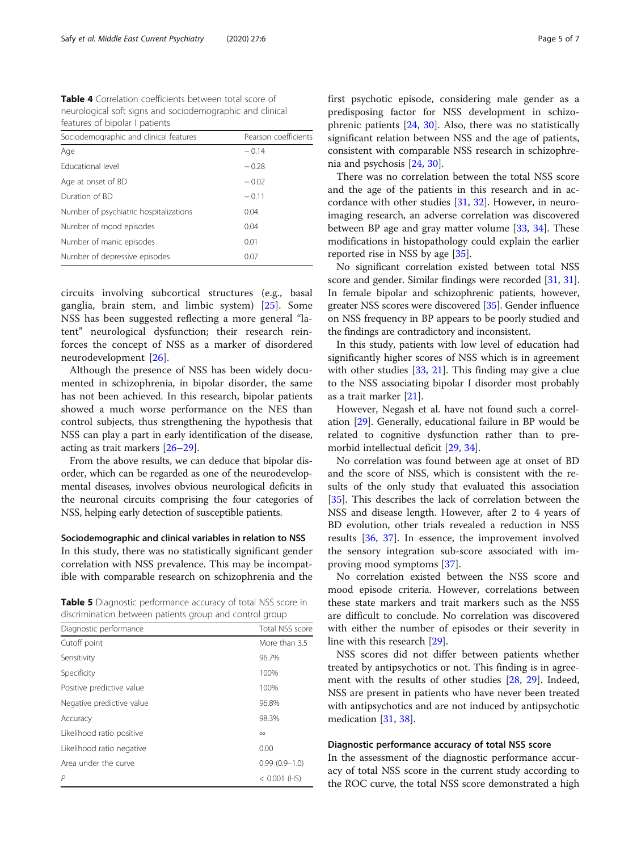<span id="page-4-0"></span>Table 4 Correlation coefficients between total score of neurological soft signs and sociodemographic and clinical features of bipolar I patients

| Sociodemographic and clinical features | Pearson coefficients |  |
|----------------------------------------|----------------------|--|
| Age                                    | $-0.14$              |  |
| <b>Educational level</b>               | $-0.28$              |  |
| Age at onset of BD                     | $-0.02$              |  |
| Duration of BD                         | $-0.11$              |  |
| Number of psychiatric hospitalizations | 0.04                 |  |
| Number of mood episodes                | 0.04                 |  |
| Number of manic episodes               | 0.01                 |  |
| Number of depressive episodes          | 0.07                 |  |

circuits involving subcortical structures (e.g., basal ganglia, brain stem, and limbic system) [[25\]](#page-6-0). Some NSS has been suggested reflecting a more general "latent" neurological dysfunction; their research reinforces the concept of NSS as a marker of disordered neurodevelopment [[26\]](#page-6-0).

Although the presence of NSS has been widely documented in schizophrenia, in bipolar disorder, the same has not been achieved. In this research, bipolar patients showed a much worse performance on the NES than control subjects, thus strengthening the hypothesis that NSS can play a part in early identification of the disease, acting as trait markers [\[26](#page-6-0)–[29\]](#page-6-0).

From the above results, we can deduce that bipolar disorder, which can be regarded as one of the neurodevelopmental diseases, involves obvious neurological deficits in the neuronal circuits comprising the four categories of NSS, helping early detection of susceptible patients.

Sociodemographic and clinical variables in relation to NSS In this study, there was no statistically significant gender correlation with NSS prevalence. This may be incompatible with comparable research on schizophrenia and the

Table 5 Diagnostic performance accuracy of total NSS score in discrimination between patients group and control group

| Diagnostic performance    | Total NSS score   |
|---------------------------|-------------------|
| Cutoff point              | More than 3.5     |
| Sensitivity               | 96.7%             |
| Specificity               | 100%              |
| Positive predictive value | 100%              |
| Negative predictive value | 96.8%             |
| Accuracy                  | 98.3%             |
| Likelihood ratio positive | $\infty$          |
| Likelihood ratio negative | 0.00              |
| Area under the curve      | $0.99(0.9 - 1.0)$ |
| P                         | $<$ 0.001 (HS)    |
|                           |                   |

first psychotic episode, considering male gender as a predisposing factor for NSS development in schizophrenic patients [\[24,](#page-6-0) [30](#page-6-0)]. Also, there was no statistically significant relation between NSS and the age of patients, consistent with comparable NSS research in schizophrenia and psychosis [\[24](#page-6-0), [30](#page-6-0)].

There was no correlation between the total NSS score and the age of the patients in this research and in accordance with other studies [\[31,](#page-6-0) [32\]](#page-6-0). However, in neuroimaging research, an adverse correlation was discovered between BP age and gray matter volume [\[33,](#page-6-0) [34](#page-6-0)]. These modifications in histopathology could explain the earlier reported rise in NSS by age [\[35](#page-6-0)].

No significant correlation existed between total NSS score and gender. Similar findings were recorded [\[31,](#page-6-0) [31](#page-6-0)]. In female bipolar and schizophrenic patients, however, greater NSS scores were discovered [\[35\]](#page-6-0). Gender influence on NSS frequency in BP appears to be poorly studied and the findings are contradictory and inconsistent.

In this study, patients with low level of education had significantly higher scores of NSS which is in agreement with other studies  $[33, 21]$  $[33, 21]$  $[33, 21]$  $[33, 21]$ . This finding may give a clue to the NSS associating bipolar I disorder most probably as a trait marker [\[21](#page-6-0)].

However, Negash et al. have not found such a correlation [[29\]](#page-6-0). Generally, educational failure in BP would be related to cognitive dysfunction rather than to premorbid intellectual deficit [[29](#page-6-0), [34](#page-6-0)].

No correlation was found between age at onset of BD and the score of NSS, which is consistent with the results of the only study that evaluated this association [[35\]](#page-6-0). This describes the lack of correlation between the NSS and disease length. However, after 2 to 4 years of BD evolution, other trials revealed a reduction in NSS results [\[36](#page-6-0), [37\]](#page-6-0). In essence, the improvement involved the sensory integration sub-score associated with improving mood symptoms [\[37](#page-6-0)].

No correlation existed between the NSS score and mood episode criteria. However, correlations between these state markers and trait markers such as the NSS are difficult to conclude. No correlation was discovered with either the number of episodes or their severity in line with this research [\[29](#page-6-0)].

NSS scores did not differ between patients whether treated by antipsychotics or not. This finding is in agreement with the results of other studies [\[28](#page-6-0), [29](#page-6-0)]. Indeed, NSS are present in patients who have never been treated with antipsychotics and are not induced by antipsychotic medication [\[31](#page-6-0), [38\]](#page-6-0).

#### Diagnostic performance accuracy of total NSS score

In the assessment of the diagnostic performance accuracy of total NSS score in the current study according to the ROC curve, the total NSS score demonstrated a high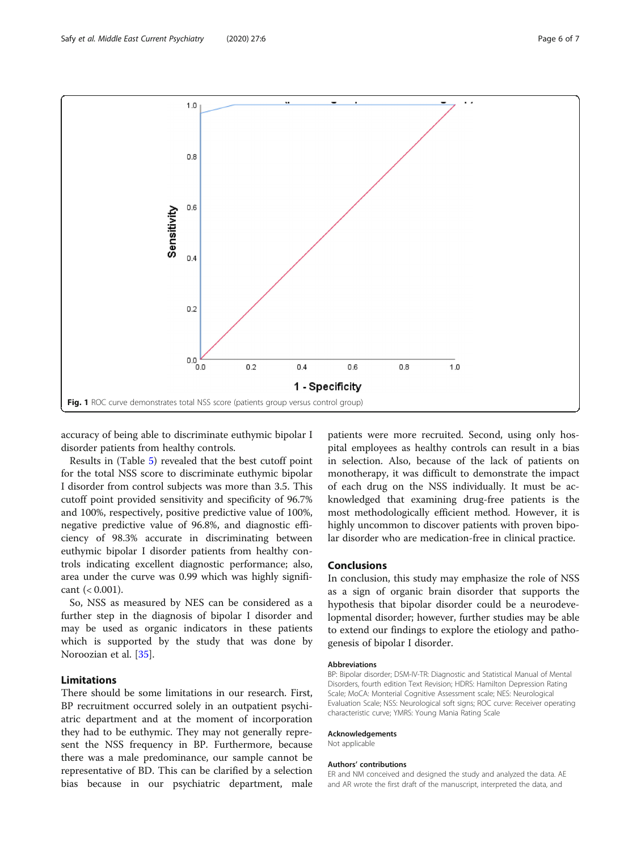<span id="page-5-0"></span>

accuracy of being able to discriminate euthymic bipolar I disorder patients from healthy controls.

Results in (Table [5\)](#page-4-0) revealed that the best cutoff point for the total NSS score to discriminate euthymic bipolar I disorder from control subjects was more than 3.5. This cutoff point provided sensitivity and specificity of 96.7% and 100%, respectively, positive predictive value of 100%, negative predictive value of 96.8%, and diagnostic efficiency of 98.3% accurate in discriminating between euthymic bipolar I disorder patients from healthy controls indicating excellent diagnostic performance; also, area under the curve was 0.99 which was highly significant  $(< 0.001$ ).

So, NSS as measured by NES can be considered as a further step in the diagnosis of bipolar I disorder and may be used as organic indicators in these patients which is supported by the study that was done by Noroozian et al. [[35](#page-6-0)].

# Limitations

There should be some limitations in our research. First, BP recruitment occurred solely in an outpatient psychiatric department and at the moment of incorporation they had to be euthymic. They may not generally represent the NSS frequency in BP. Furthermore, because there was a male predominance, our sample cannot be representative of BD. This can be clarified by a selection bias because in our psychiatric department, male

patients were more recruited. Second, using only hospital employees as healthy controls can result in a bias in selection. Also, because of the lack of patients on monotherapy, it was difficult to demonstrate the impact of each drug on the NSS individually. It must be acknowledged that examining drug-free patients is the most methodologically efficient method. However, it is highly uncommon to discover patients with proven bipolar disorder who are medication-free in clinical practice.

### Conclusions

In conclusion, this study may emphasize the role of NSS as a sign of organic brain disorder that supports the hypothesis that bipolar disorder could be a neurodevelopmental disorder; however, further studies may be able to extend our findings to explore the etiology and pathogenesis of bipolar I disorder.

#### Abbreviations

BP: Bipolar disorder; DSM-IV-TR: Diagnostic and Statistical Manual of Mental Disorders, fourth edition Text Revision; HDRS: Hamilton Depression Rating Scale; MoCA: Monterial Cognitive Assessment scale; NES: Neurological Evaluation Scale; NSS: Neurological soft signs; ROC curve: Receiver operating characteristic curve; YMRS: Young Mania Rating Scale

#### Acknowledgements

Not applicable

#### Authors' contributions

ER and NM conceived and designed the study and analyzed the data. AE and AR wrote the first draft of the manuscript, interpreted the data, and